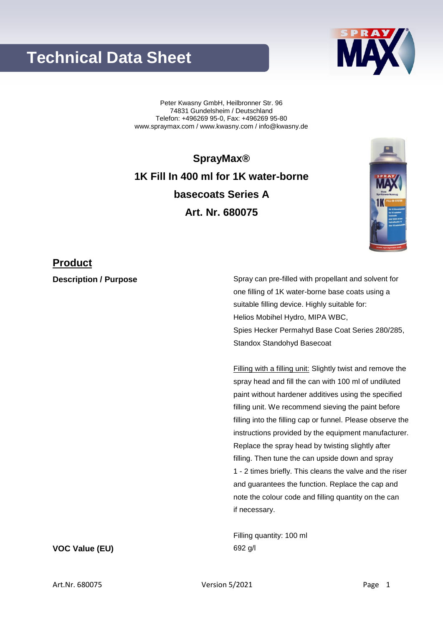# **Technical Data Sheet**

Peter Kwasny GmbH, Heilbronner Str. 96 74831 Gundelsheim / Deutschland Telefon: +496269 95-0, Fax: +496269 95-80 www.spraymax.com / www.kwasny.com / info@kwasny.de

**SprayMax® 1K Fill In 400 ml for 1K water-borne basecoats Series A Art. Nr. 680075**

### **Product**

**Description / Purpose** Spray can pre-filled with propellant and solvent for one filling of 1K water-borne base coats using a suitable filling device. Highly suitable for: Helios Mobihel Hydro, MIPA WBC, Spies Hecker Permahyd Base Coat Series 280/285, Standox Standohyd Basecoat

> Filling with a filling unit: Slightly twist and remove the spray head and fill the can with 100 ml of undiluted paint without hardener additives using the specified filling unit. We recommend sieving the paint before filling into the filling cap or funnel. Please observe the instructions provided by the equipment manufacturer. Replace the spray head by twisting slightly after filling. Then tune the can upside down and spray 1 - 2 times briefly. This cleans the valve and the riser and guarantees the function. Replace the cap and note the colour code and filling quantity on the can if necessary.

Filling quantity: 100 ml **VOC Value (EU)** 692 g/l

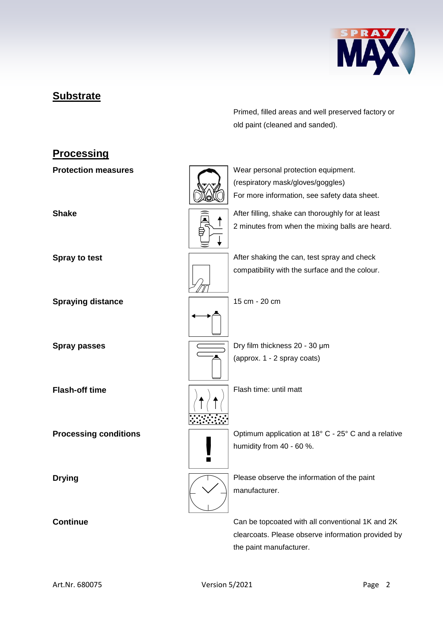

## **Substrate**

Primed, filled areas and well preserved factory or old paint (cleaned and sanded).

# **Processing Protection measures** Wear personal protection equipment. (respiratory mask/gloves/goggles) For more information, see safety data sheet. **Shake** After filling, shake can thoroughly for at least 2 minutes from when the mixing balls are heard. **Spray to test Spray to test** After shaking the can, test spray and check compatibility with the surface and the colour. **Spraying distance** 15 cm - 20 cm **Spray passes Dry film thickness 20 - 30 μm** (approx. 1 - 2 spray coats) **Flash-off time** Flash time: until matt **Processing conditions Conditions Conditions Processing conditions C** - 25° C and a relative humidity from 40 - 60 %.  $\blacksquare$ **Drying Please observe the information of the paint** manufacturer. **Continue** Can be topcoated with all conventional 1K and 2K clearcoats. Please observe information provided by

the paint manufacturer.